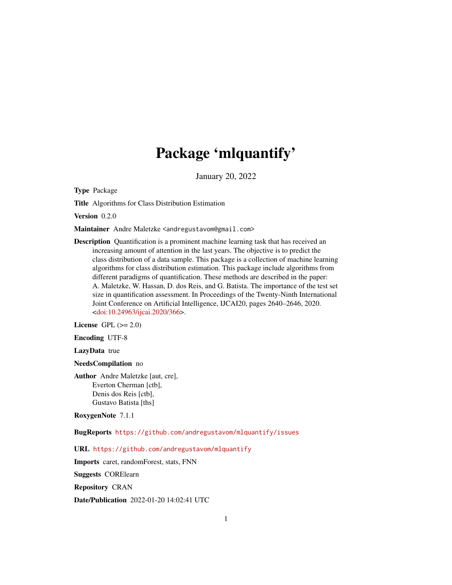# Package 'mlquantify'

January 20, 2022

<span id="page-0-0"></span>Type Package

Title Algorithms for Class Distribution Estimation

Version 0.2.0

Maintainer Andre Maletzke <andregustavom@gmail.com>

Description Quantification is a prominent machine learning task that has received an increasing amount of attention in the last years. The objective is to predict the class distribution of a data sample. This package is a collection of machine learning algorithms for class distribution estimation. This package include algorithms from different paradigms of quantification. These methods are described in the paper: A. Maletzke, W. Hassan, D. dos Reis, and G. Batista. The importance of the test set size in quantification assessment. In Proceedings of the Twenty-Ninth International Joint Conference on Artificial Intelligence, IJCAI20, pages 2640–2646, 2020. [<doi:10.24963/ijcai.2020/366>](https://doi.org/10.24963/ijcai.2020/366).

License GPL  $(>= 2.0)$ 

Encoding UTF-8

LazyData true

NeedsCompilation no

Author Andre Maletzke [aut, cre], Everton Cherman [ctb], Denis dos Reis [ctb], Gustavo Batista [ths]

RoxygenNote 7.1.1

BugReports <https://github.com/andregustavom/mlquantify/issues>

URL <https://github.com/andregustavom/mlquantify>

Imports caret, randomForest, stats, FNN

Suggests CORElearn

Repository CRAN

Date/Publication 2022-01-20 14:02:41 UTC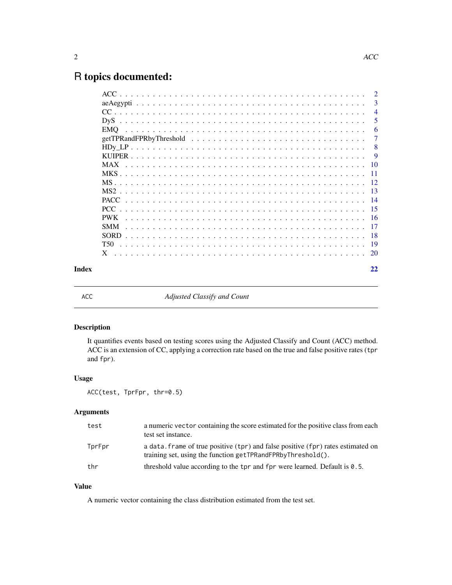## <span id="page-1-0"></span>R topics documented:

| -3<br>$\overline{4}$<br>5<br>-6<br>-7<br>- 8<br><b>PWK</b><br><b>SMM</b><br>T50<br>Index<br>22 |  | $\overline{2}$ |
|------------------------------------------------------------------------------------------------|--|----------------|
|                                                                                                |  |                |
|                                                                                                |  |                |
|                                                                                                |  |                |
|                                                                                                |  |                |
|                                                                                                |  |                |
|                                                                                                |  |                |
|                                                                                                |  |                |
|                                                                                                |  |                |
|                                                                                                |  |                |
|                                                                                                |  |                |
|                                                                                                |  |                |
|                                                                                                |  |                |
|                                                                                                |  |                |
|                                                                                                |  |                |
|                                                                                                |  |                |
|                                                                                                |  |                |
|                                                                                                |  |                |
|                                                                                                |  |                |
|                                                                                                |  |                |

ACC *Adjusted Classify and Count*

#### Description

It quantifies events based on testing scores using the Adjusted Classify and Count (ACC) method. ACC is an extension of CC, applying a correction rate based on the true and false positive rates (tpr and fpr).

#### Usage

ACC(test, TprFpr, thr=0.5)

#### Arguments

| test   | a numeric vector containing the score estimated for the positive class from each<br>test set instance.                                          |
|--------|-------------------------------------------------------------------------------------------------------------------------------------------------|
| TprFpr | a data, frame of true positive (tpr) and false positive (fpr) rates estimated on<br>training set, using the function getTPRandFPRbyThreshold(). |
| thr    | threshold value according to the tpr and fpr were learned. Default is 0.5.                                                                      |

#### Value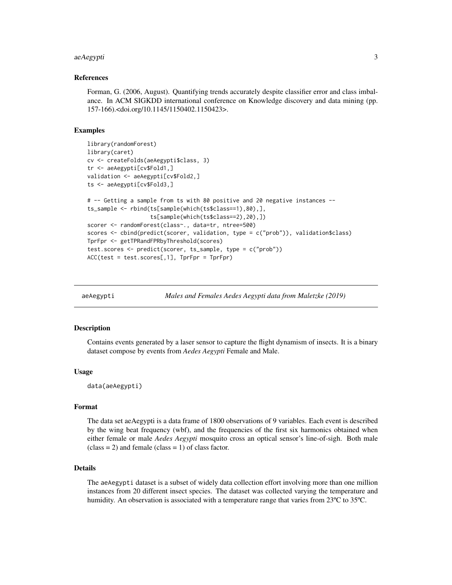#### <span id="page-2-0"></span>aeAegypti 3

#### References

Forman, G. (2006, August). Quantifying trends accurately despite classifier error and class imbalance. In ACM SIGKDD international conference on Knowledge discovery and data mining (pp. 157-166).<doi.org/10.1145/1150402.1150423>.

#### Examples

```
library(randomForest)
library(caret)
cv <- createFolds(aeAegypti$class, 3)
tr <- aeAegypti[cv$Fold1,]
validation <- aeAegypti[cv$Fold2,]
ts <- aeAegypti[cv$Fold3,]
# -- Getting a sample from ts with 80 positive and 20 negative instances --
ts_sample <- rbind(ts[sample(which(ts$class==1),80),],
                   ts[sample(which(ts$class==2),20),])
scorer <- randomForest(class~., data=tr, ntree=500)
scores <- cbind(predict(scorer, validation, type = c("prob")), validation$class)
TprFpr <- getTPRandFPRbyThreshold(scores)
test.scores <- predict(scorer, ts_sample, type = c("prob"))
ACC(test = test.scores[, 1], TprFpr = TprFpr)
```
aeAegypti *Males and Females Aedes Aegypti data from Maletzke (2019)*

#### Description

Contains events generated by a laser sensor to capture the flight dynamism of insects. It is a binary dataset compose by events from *Aedes Aegypti* Female and Male.

#### Usage

data(aeAegypti)

#### Format

The data set aeAegypti is a data frame of 1800 observations of 9 variables. Each event is described by the wing beat frequency (wbf), and the frequencies of the first six harmonics obtained when either female or male *Aedes Aegypti* mosquito cross an optical sensor's line-of-sigh. Both male  $class = 2)$  and female  $class = 1)$  of class factor.

#### Details

The aeAegypti dataset is a subset of widely data collection effort involving more than one million instances from 20 different insect species. The dataset was collected varying the temperature and humidity. An observation is associated with a temperature range that varies from 23°C to 35°C.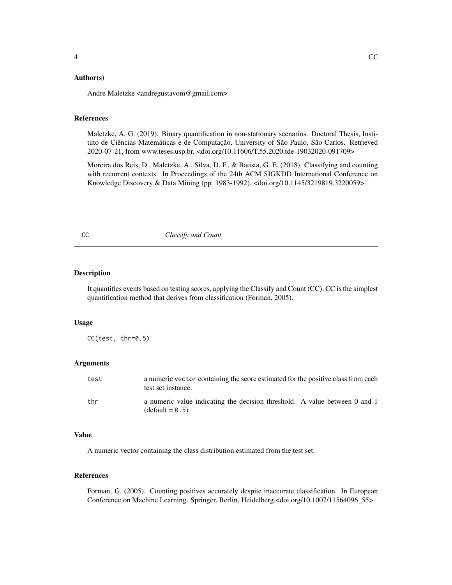#### <span id="page-3-0"></span>Author(s)

Andre Maletzke <andregustavom@gmail.com>

#### References

Maletzke, A. G. (2019). Binary quantification in non-stationary scenarios. Doctoral Thesis, Instituto de Ciências Matemáticas e de Computação, University of São Paulo, São Carlos. Retrieved 2020-07-21, from www.teses.usp.br. <doi.org/10.11606/T.55.2020.tde-19032020-091709>

Moreira dos Reis, D., Maletzke, A., Silva, D. F., & Batista, G. E. (2018). Classifying and counting with recurrent contexts. In Proceedings of the 24th ACM SIGKDD International Conference on Knowledge Discovery & Data Mining (pp. 1983-1992). <doi.org/10.1145/3219819.3220059>

CC *Classify and Count*

#### Description

It quantifies events based on testing scores, applying the Classify and Count (CC). CC is the simplest quantification method that derives from classification (Forman, 2005).

#### Usage

CC(test, thr=0.5)

#### Arguments

| test | a numeric vector containing the score estimated for the positive class from each<br>test set instance. |
|------|--------------------------------------------------------------------------------------------------------|
| thr  | a numeric value indicating the decision threshold. A value between 0 and 1<br>$(detault = 0.5)$        |

#### Value

A numeric vector containing the class distribution estimated from the test set.

#### References

Forman, G. (2005). Counting positives accurately despite inaccurate classification. In European Conference on Machine Learning. Springer, Berlin, Heidelberg.<doi.org/10.1007/11564096\_55>.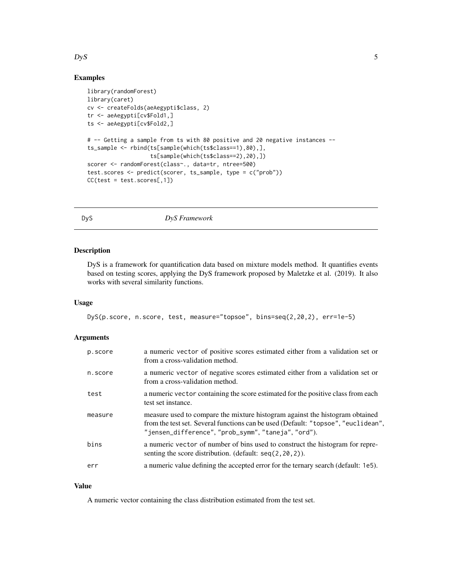#### <span id="page-4-0"></span> $DyS$  5

#### Examples

```
library(randomForest)
library(caret)
cv <- createFolds(aeAegypti$class, 2)
tr <- aeAegypti[cv$Fold1,]
ts <- aeAegypti[cv$Fold2,]
# -- Getting a sample from ts with 80 positive and 20 negative instances --
ts_sample <- rbind(ts[sample(which(ts$class==1),80),],
                   ts[sample(which(ts$class==2),20),])
scorer <- randomForest(class~., data=tr, ntree=500)
test.scores <- predict(scorer, ts_sample, type = c("prob"))
CC(test = test.scores[, 1])
```
#### DyS *DyS Framework*

#### Description

DyS is a framework for quantification data based on mixture models method. It quantifies events based on testing scores, applying the DyS framework proposed by Maletzke et al. (2019). It also works with several similarity functions.

#### Usage

DyS(p.score, n.score, test, measure="topsoe", bins=seq(2,20,2), err=1e-5)

#### Arguments

| p.score | a numeric vector of positive scores estimated either from a validation set or<br>from a cross-validation method.                                                                                                      |
|---------|-----------------------------------------------------------------------------------------------------------------------------------------------------------------------------------------------------------------------|
| n.score | a numeric vector of negative scores estimated either from a validation set or<br>from a cross-validation method.                                                                                                      |
| test    | a numeric vector containing the score estimated for the positive class from each<br>test set instance.                                                                                                                |
| measure | measure used to compare the mixture histogram against the histogram obtained<br>from the test set. Several functions can be used (Default: "topsoe", "euclidean",<br>"jensen_difference","prob_symm","taneja","ord"). |
| bins    | a numeric vector of number of bins used to construct the histogram for repre-<br>senting the score distribution. (default: $seq(2, 20, 2)$ ).                                                                         |
| err     | a numeric value defining the accepted error for the ternary search (default: 1e5).                                                                                                                                    |
|         |                                                                                                                                                                                                                       |

#### Value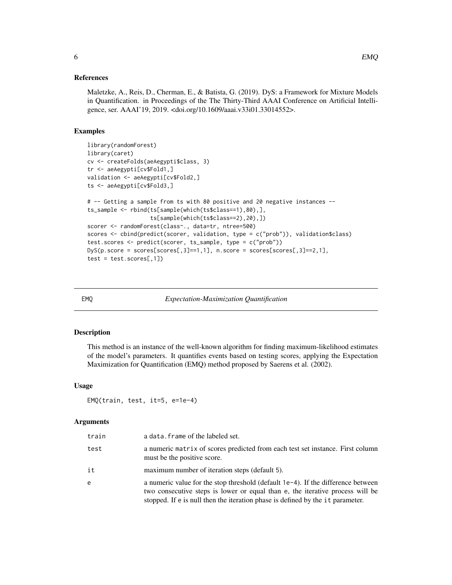<span id="page-5-0"></span>Maletzke, A., Reis, D., Cherman, E., & Batista, G. (2019). DyS: a Framework for Mixture Models in Quantification. in Proceedings of the The Thirty-Third AAAI Conference on Artificial Intelligence, ser. AAAI'19, 2019. <doi.org/10.1609/aaai.v33i01.33014552>.

#### Examples

```
library(randomForest)
library(caret)
cv <- createFolds(aeAegypti$class, 3)
tr <- aeAegypti[cv$Fold1,]
validation <- aeAegypti[cv$Fold2,]
ts <- aeAegypti[cv$Fold3,]
# -- Getting a sample from ts with 80 positive and 20 negative instances --
ts_sample <- rbind(ts[sample(which(ts$class==1),80),],
                    ts[sample(which(ts$class==2),20),])
scorer <- randomForest(class~., data=tr, ntree=500)
scores <- cbind(predict(scorer, validation, type = c("prob")), validation$class)
test.scores <- predict(scorer, ts_sample, type = c("prob"))
DyS(p,\text{score} = \text{scores}[\text{scores},3] == 1,1], n.\text{score} = \text{scores}[\text{scores},3] == 2,1],test = test.scores[, 1])
```
EMQ *Expectation-Maximization Quantification*

#### Description

This method is an instance of the well-known algorithm for finding maximum-likelihood estimates of the model's parameters. It quantifies events based on testing scores, applying the Expectation Maximization for Quantification (EMQ) method proposed by Saerens et al. (2002).

#### Usage

EMQ(train, test, it=5, e=1e-4)

#### Arguments

| train | a data. frame of the labeled set.                                                                                                                                                                                                                      |
|-------|--------------------------------------------------------------------------------------------------------------------------------------------------------------------------------------------------------------------------------------------------------|
| test  | a numeric matrix of scores predicted from each test set instance. First column<br>must be the positive score.                                                                                                                                          |
| it    | maximum number of iteration steps (default 5).                                                                                                                                                                                                         |
| e     | a numeric value for the stop threshold (default $1e-4$ ). If the difference between<br>two consecutive steps is lower or equal than e, the iterative process will be<br>stopped. If e is null then the iteration phase is defined by the it parameter. |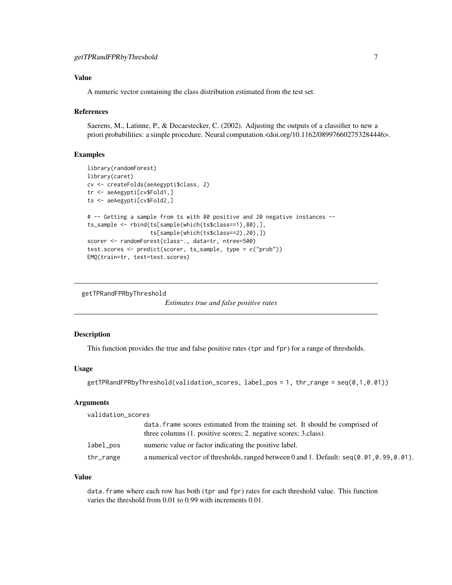#### <span id="page-6-0"></span>Value

A numeric vector containing the class distribution estimated from the test set.

#### References

Saerens, M., Latinne, P., & Decaestecker, C. (2002). Adjusting the outputs of a classifier to new a priori probabilities: a simple procedure. Neural computation.<doi.org/10.1162/089976602753284446>.

#### Examples

```
library(randomForest)
library(caret)
cv <- createFolds(aeAegypti$class, 2)
tr <- aeAegypti[cv$Fold1,]
ts <- aeAegypti[cv$Fold2,]
# -- Getting a sample from ts with 80 positive and 20 negative instances --
ts_sample <- rbind(ts[sample(which(ts$class==1),80),],
                   ts[sample(which(ts$class==2),20),])
scorer <- randomForest(class~., data=tr, ntree=500)
test.scores <- predict(scorer, ts_sample, type = c("prob"))
EMQ(train=tr, test=test.scores)
```

```
getTPRandFPRbyThreshold
```
*Estimates true and false positive rates*

#### Description

This function provides the true and false positive rates (tpr and fpr) for a range of thresholds.

#### Usage

```
getTPRandFPRbyThreshold(validation_scores, label_pos = 1, thr_range = seq(0,1,0.01))
```
#### Arguments

| validation_scores |                                                                                                                                                   |
|-------------------|---------------------------------------------------------------------------------------------------------------------------------------------------|
|                   | data. Frame scores estimated from the training set. It should be comprised of<br>three columns (1. positive scores; 2. negative scores; 3.class). |
| label_pos         | numeric value or factor indicating the positive label.                                                                                            |
| thr_range         | a numerical vector of thresholds, ranged between 0 and 1. Default: $seq(0.01, 0.99, 0.01)$ .                                                      |

#### Value

data.frame where each row has both (tpr and fpr) rates for each threshold value. This function varies the threshold from 0.01 to 0.99 with increments 0.01.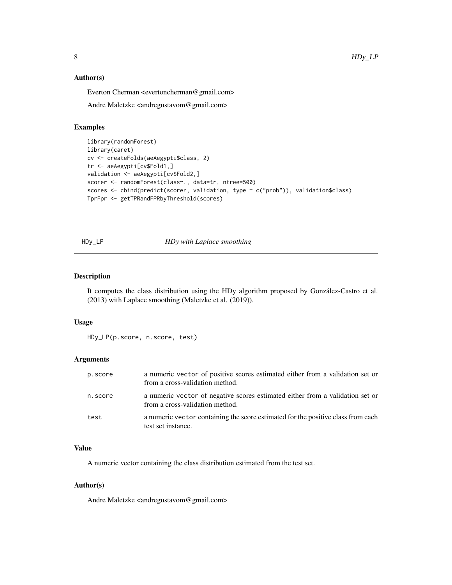#### <span id="page-7-0"></span>Author(s)

Everton Cherman <evertoncherman@gmail.com>

Andre Maletzke <andregustavom@gmail.com>

#### Examples

```
library(randomForest)
library(caret)
cv <- createFolds(aeAegypti$class, 2)
tr <- aeAegypti[cv$Fold1,]
validation <- aeAegypti[cv$Fold2,]
scorer <- randomForest(class~., data=tr, ntree=500)
scores <- cbind(predict(scorer, validation, type = c("prob")), validation$class)
TprFpr <- getTPRandFPRbyThreshold(scores)
```
#### HDy\_LP *HDy with Laplace smoothing*

#### Description

It computes the class distribution using the HDy algorithm proposed by González-Castro et al. (2013) with Laplace smoothing (Maletzke et al. (2019)).

#### Usage

HDy\_LP(p.score, n.score, test)

#### Arguments

| p.score | a numeric vector of positive scores estimated either from a validation set or<br>from a cross-validation method. |
|---------|------------------------------------------------------------------------------------------------------------------|
| n.score | a numeric vector of negative scores estimated either from a validation set or<br>from a cross-validation method. |
| test    | a numeric vector containing the score estimated for the positive class from each<br>test set instance.           |

#### Value

A numeric vector containing the class distribution estimated from the test set.

#### Author(s)

Andre Maletzke <andregustavom@gmail.com>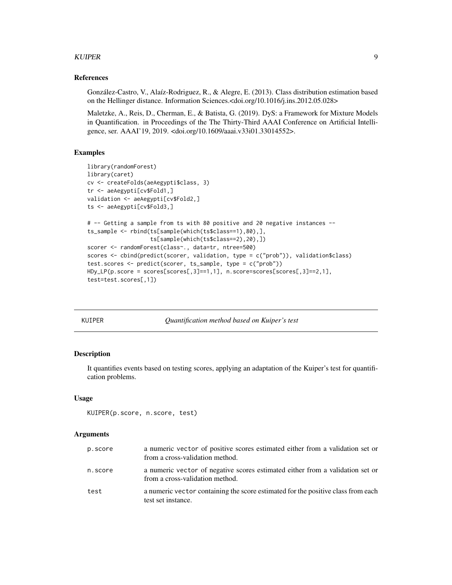#### <span id="page-8-0"></span>KUIPER 9

#### References

González-Castro, V., Alaíz-Rodriguez, R., & Alegre, E. (2013). Class distribution estimation based on the Hellinger distance. Information Sciences.<doi.org/10.1016/j.ins.2012.05.028>

Maletzke, A., Reis, D., Cherman, E., & Batista, G. (2019). DyS: a Framework for Mixture Models in Quantification. in Proceedings of the The Thirty-Third AAAI Conference on Artificial Intelligence, ser. AAAI'19, 2019. <doi.org/10.1609/aaai.v33i01.33014552>.

#### Examples

```
library(randomForest)
library(caret)
cv <- createFolds(aeAegypti$class, 3)
tr <- aeAegypti[cv$Fold1,]
validation <- aeAegypti[cv$Fold2,]
ts <- aeAegypti[cv$Fold3,]
# -- Getting a sample from ts with 80 positive and 20 negative instances --
ts_sample <- rbind(ts[sample(which(ts$class==1),80),],
                   ts[sample(which(ts$class==2),20),])
scorer <- randomForest(class~., data=tr, ntree=500)
scores <- cbind(predict(scorer, validation, type = c("prob")), validation$class)
test.scores <- predict(scorer, ts_sample, type = c("prob"))
HDy_LP(p.score = scores[scores[,3]==1,1], n.score=scores[scores[,3]==2,1],
test=test.scores[,1])
```
KUIPER *Quantification method based on Kuiper's test*

#### Description

It quantifies events based on testing scores, applying an adaptation of the Kuiper's test for quantification problems.

#### Usage

```
KUIPER(p.score, n.score, test)
```
#### **Arguments**

| p.score | a numeric vector of positive scores estimated either from a validation set or<br>from a cross-validation method. |
|---------|------------------------------------------------------------------------------------------------------------------|
| n.score | a numeric vector of negative scores estimated either from a validation set or<br>from a cross-validation method. |
| test    | a numeric vector containing the score estimated for the positive class from each<br>test set instance.           |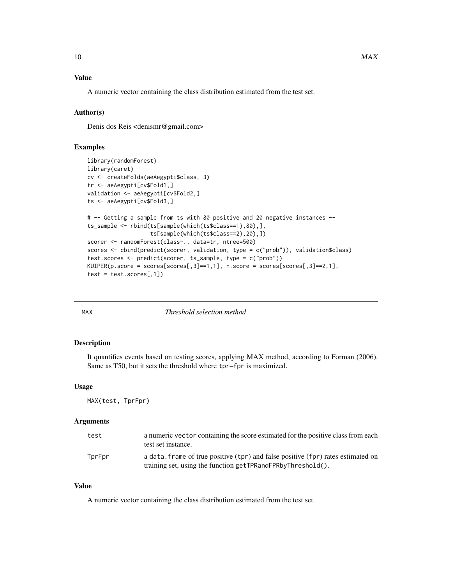#### <span id="page-9-0"></span>Value

A numeric vector containing the class distribution estimated from the test set.

#### Author(s)

Denis dos Reis <denismr@gmail.com>

### Examples

```
library(randomForest)
library(caret)
cv <- createFolds(aeAegypti$class, 3)
tr <- aeAegypti[cv$Fold1,]
validation <- aeAegypti[cv$Fold2,]
ts <- aeAegypti[cv$Fold3,]
# -- Getting a sample from ts with 80 positive and 20 negative instances --
ts_sample <- rbind(ts[sample(which(ts$class==1),80),],
                   ts[sample(which(ts$class==2),20),])
scorer <- randomForest(class~., data=tr, ntree=500)
scores <- cbind(predict(scorer, validation, type = c("prob")), validation$class)
test.scores <- predict(scorer, ts_sample, type = c("prob"))
KUIPER(p.score = scores[scores[,3]==1,1], n.score = scores[scores[,3]==2,1],
test = test.scores[, 1])
```

| ٠<br>١<br>$\cdot$ |  | M/ |  |  |  |
|-------------------|--|----|--|--|--|
|-------------------|--|----|--|--|--|

 $Threshold$  selection method

#### Description

It quantifies events based on testing scores, applying MAX method, according to Forman (2006). Same as T50, but it sets the threshold where tpr–fpr is maximized.

#### Usage

MAX(test, TprFpr)

#### Arguments

| test   | a numeric vector containing the score estimated for the positive class from each<br>test set instance.                                          |
|--------|-------------------------------------------------------------------------------------------------------------------------------------------------|
| TprFpr | a data, frame of true positive (tpr) and false positive (fpr) rates estimated on<br>training set, using the function getTPRandFPRbyThreshold(). |

#### Value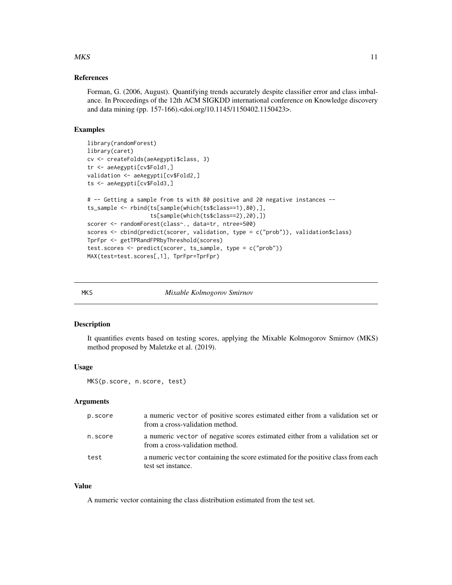#### <span id="page-10-0"></span> $MKS$  11

#### References

Forman, G. (2006, August). Quantifying trends accurately despite classifier error and class imbalance. In Proceedings of the 12th ACM SIGKDD international conference on Knowledge discovery and data mining (pp. 157-166).<doi.org/10.1145/1150402.1150423>.

#### Examples

```
library(randomForest)
library(caret)
cv <- createFolds(aeAegypti$class, 3)
tr <- aeAegypti[cv$Fold1,]
validation <- aeAegypti[cv$Fold2,]
ts <- aeAegypti[cv$Fold3,]
# -- Getting a sample from ts with 80 positive and 20 negative instances --
ts_sample <- rbind(ts[sample(which(ts$class==1),80),],
                   ts[sample(which(ts$class==2),20),])
scorer <- randomForest(class~., data=tr, ntree=500)
scores <- cbind(predict(scorer, validation, type = c("prob")), validation$class)
TprFpr <- getTPRandFPRbyThreshold(scores)
test.scores <- predict(scorer, ts_sample, type = c("prob"))
MAX(test=test.scores[,1], TprFpr=TprFpr)
```
MKS *Mixable Kolmogorov Smirnov*

#### Description

It quantifies events based on testing scores, applying the Mixable Kolmogorov Smirnov (MKS) method proposed by Maletzke et al. (2019).

#### Usage

MKS(p.score, n.score, test)

#### Arguments

| p.score | a numeric vector of positive scores estimated either from a validation set or<br>from a cross-validation method. |
|---------|------------------------------------------------------------------------------------------------------------------|
| n.score | a numeric vector of negative scores estimated either from a validation set or<br>from a cross-validation method. |
| test    | a numeric vector containing the score estimated for the positive class from each<br>test set instance.           |

#### Value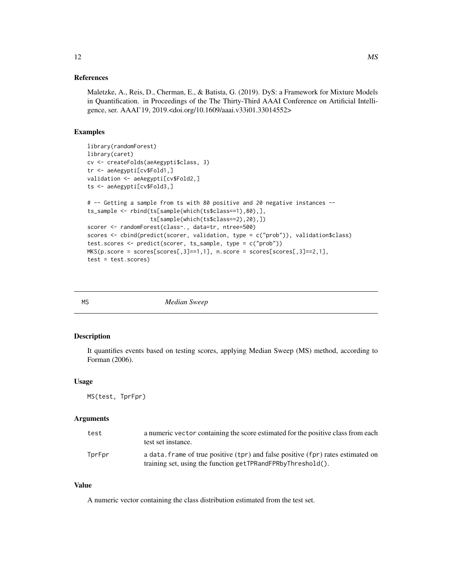<span id="page-11-0"></span>Maletzke, A., Reis, D., Cherman, E., & Batista, G. (2019). DyS: a Framework for Mixture Models in Quantification. in Proceedings of the The Thirty-Third AAAI Conference on Artificial Intelligence, ser. AAAI'19, 2019.<doi.org/10.1609/aaai.v33i01.33014552>

#### Examples

```
library(randomForest)
library(caret)
cv <- createFolds(aeAegypti$class, 3)
tr <- aeAegypti[cv$Fold1,]
validation <- aeAegypti[cv$Fold2,]
ts <- aeAegypti[cv$Fold3,]
# -- Getting a sample from ts with 80 positive and 20 negative instances --
ts_sample <- rbind(ts[sample(which(ts$class==1),80),],
                   ts[sample(which(ts$class==2),20),])
scorer <- randomForest(class~., data=tr, ntree=500)
scores <- cbind(predict(scorer, validation, type = c("prob")), validation$class)
test.scores <- predict(scorer, ts_sample, type = c("prob"))
MKS(p.score = scores[scores[, 3]=1,1], n.score = scores[scores[, 3]=2,1],test = test.scores)
```

MS *Median Sweep*

#### Description

It quantifies events based on testing scores, applying Median Sweep (MS) method, according to Forman (2006).

#### Usage

MS(test, TprFpr)

#### Arguments

| test   | a numeric vector containing the score estimated for the positive class from each<br>test set instance.                                          |
|--------|-------------------------------------------------------------------------------------------------------------------------------------------------|
| TprFpr | a data, frame of true positive (tpr) and false positive (fpr) rates estimated on<br>training set, using the function getTPRandFPRbyThreshold(). |

#### Value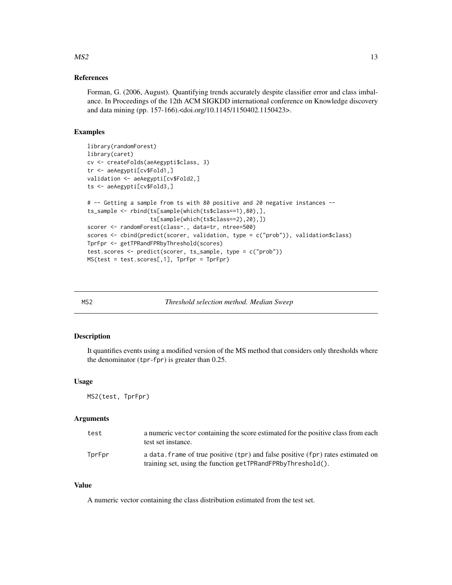Forman, G. (2006, August). Quantifying trends accurately despite classifier error and class imbalance. In Proceedings of the 12th ACM SIGKDD international conference on Knowledge discovery and data mining (pp. 157-166).<doi.org/10.1145/1150402.1150423>.

#### Examples

```
library(randomForest)
library(caret)
cv <- createFolds(aeAegypti$class, 3)
tr <- aeAegypti[cv$Fold1,]
validation <- aeAegypti[cv$Fold2,]
ts <- aeAegypti[cv$Fold3,]
# -- Getting a sample from ts with 80 positive and 20 negative instances --
ts_sample <- rbind(ts[sample(which(ts$class==1),80),],
                   ts[sample(which(ts$class==2),20),])
scorer <- randomForest(class~., data=tr, ntree=500)
scores <- cbind(predict(scorer, validation, type = c("prob")), validation$class)
TprFpr <- getTPRandFPRbyThreshold(scores)
test.scores <- predict(scorer, ts_sample, type = c("prob"))
MS(test = test.scores[,1], TprFpr = TprFpr)
```
MS2 *Threshold selection method. Median Sweep*

#### Description

It quantifies events using a modified version of the MS method that considers only thresholds where the denominator (tpr-fpr) is greater than 0.25.

#### Usage

MS2(test, TprFpr)

#### Arguments

| test   | a numeric vector containing the score estimated for the positive class from each<br>test set instance.                                          |
|--------|-------------------------------------------------------------------------------------------------------------------------------------------------|
| TprFpr | a data, frame of true positive (tpr) and false positive (fpr) rates estimated on<br>training set, using the function getTPRandFPRbyThreshold(). |

#### Value

A numeric vector containing the class distribution estimated from the test set.

#### <span id="page-12-0"></span> $MS2$  13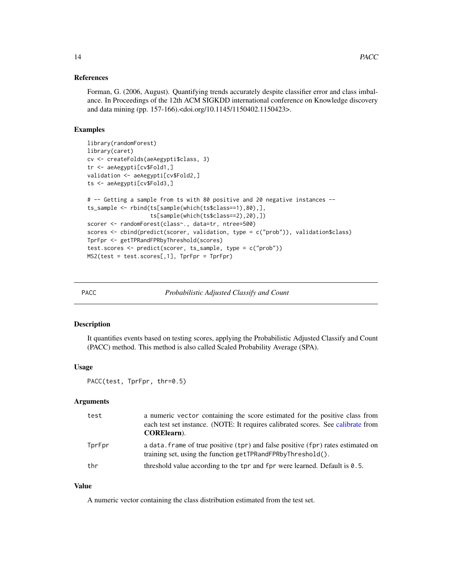<span id="page-13-0"></span>Forman, G. (2006, August). Quantifying trends accurately despite classifier error and class imbalance. In Proceedings of the 12th ACM SIGKDD international conference on Knowledge discovery and data mining (pp. 157-166).<doi.org/10.1145/1150402.1150423>.

#### Examples

```
library(randomForest)
library(caret)
cv <- createFolds(aeAegypti$class, 3)
tr <- aeAegypti[cv$Fold1,]
validation <- aeAegypti[cv$Fold2,]
ts <- aeAegypti[cv$Fold3,]
# -- Getting a sample from ts with 80 positive and 20 negative instances --
ts_sample <- rbind(ts[sample(which(ts$class==1),80),],
                   ts[sample(which(ts$class==2),20),])
scorer <- randomForest(class~., data=tr, ntree=500)
scores <- cbind(predict(scorer, validation, type = c("prob")), validation$class)
TprFpr <- getTPRandFPRbyThreshold(scores)
test.scores <- predict(scorer, ts_sample, type = c("prob"))
MS2(test = test.scores[,1], TprFpr = TprFpr)
```
PACC *Probabilistic Adjusted Classify and Count*

#### Description

It quantifies events based on testing scores, applying the Probabilistic Adjusted Classify and Count (PACC) method. This method is also called Scaled Probability Average (SPA).

#### Usage

PACC(test, TprFpr, thr=0.5)

#### Arguments

| test   | a numeric vector containing the score estimated for the positive class from<br>each test set instance. (NOTE: It requires calibrated scores. See calibrate from<br><b>CORE</b> learn). |
|--------|----------------------------------------------------------------------------------------------------------------------------------------------------------------------------------------|
| TprFpr | a data. frame of true positive (tpr) and false positive (fpr) rates estimated on<br>training set, using the function getTPRandFPRbyThreshold().                                        |
| thr    | threshold value according to the tpr and fpr were learned. Default is 0.5.                                                                                                             |

#### Value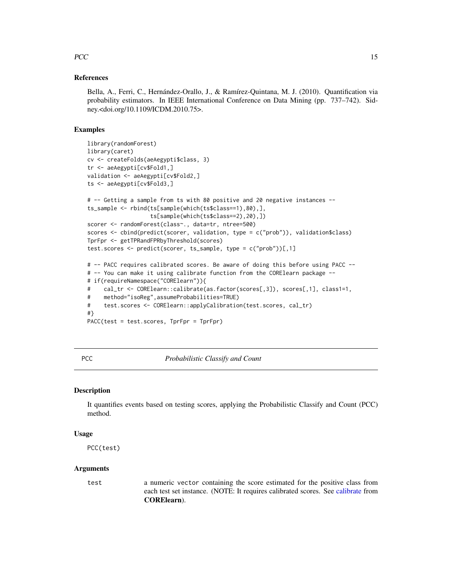#### <span id="page-14-0"></span> $PCC$  15

#### References

Bella, A., Ferri, C., Hernández-Orallo, J., & Ramírez-Quintana, M. J. (2010). Quantification via probability estimators. In IEEE International Conference on Data Mining (pp. 737–742). Sidney.<doi.org/10.1109/ICDM.2010.75>.

#### Examples

```
library(randomForest)
library(caret)
cv <- createFolds(aeAegypti$class, 3)
tr <- aeAegypti[cv$Fold1,]
validation <- aeAegypti[cv$Fold2,]
ts <- aeAegypti[cv$Fold3,]
# -- Getting a sample from ts with 80 positive and 20 negative instances --
ts_sample <- rbind(ts[sample(which(ts$class==1),80),],
                   ts[sample(which(ts$class==2),20),])
scorer <- randomForest(class~., data=tr, ntree=500)
scores <- cbind(predict(scorer, validation, type = c("prob")), validation$class)
TprFpr <- getTPRandFPRbyThreshold(scores)
test.scores <- predict(scorer, ts_sample, type = c("prob"))[,1]
# -- PACC requires calibrated scores. Be aware of doing this before using PACC --
# -- You can make it using calibrate function from the CORElearn package --
# if(requireNamespace("CORElearn")){
# cal_tr <- CORElearn::calibrate(as.factor(scores[,3]), scores[,1], class1=1,
# method="isoReg",assumeProbabilities=TRUE)
# test.scores <- CORElearn::applyCalibration(test.scores, cal_tr)
#}
PACC(test = test.scores, TprFpr = TprFpr)
```
PCC *Probabilistic Classify and Count*

#### Description

It quantifies events based on testing scores, applying the Probabilistic Classify and Count (PCC) method.

#### Usage

PCC(test)

#### Arguments

test a numeric vector containing the score estimated for the positive class from each test set instance. (NOTE: It requires calibrated scores. See [calibrate](#page-0-0) from CORElearn).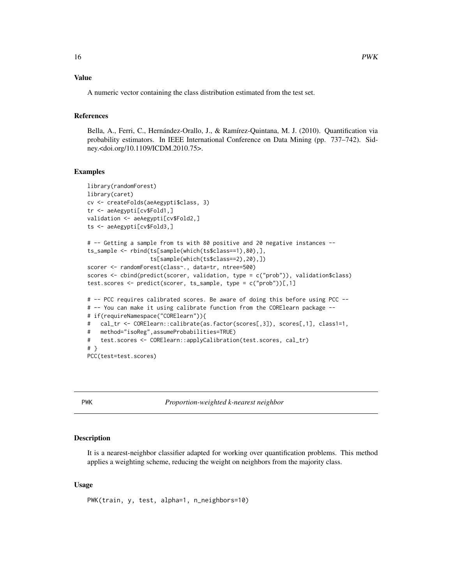#### <span id="page-15-0"></span>Value

A numeric vector containing the class distribution estimated from the test set.

#### References

Bella, A., Ferri, C., Hernández-Orallo, J., & Ramírez-Quintana, M. J. (2010). Quantification via probability estimators. In IEEE International Conference on Data Mining (pp. 737–742). Sidney.<doi.org/10.1109/ICDM.2010.75>.

#### Examples

```
library(randomForest)
library(caret)
cv <- createFolds(aeAegypti$class, 3)
tr <- aeAegypti[cv$Fold1,]
validation <- aeAegypti[cv$Fold2,]
ts <- aeAegypti[cv$Fold3,]
# -- Getting a sample from ts with 80 positive and 20 negative instances --
ts_sample <- rbind(ts[sample(which(ts$class==1),80),],
                   ts[sample(which(ts$class==2),20),])
scorer <- randomForest(class~., data=tr, ntree=500)
scores <- cbind(predict(scorer, validation, type = c("prob")), validation$class)
test.scores <- predict(scorer, ts_sample, type = c("prob"))[,1]
# -- PCC requires calibrated scores. Be aware of doing this before using PCC --
# -- You can make it using calibrate function from the CORElearn package --
# if(requireNamespace("CORElearn")){
# cal_tr <- CORElearn::calibrate(as.factor(scores[,3]), scores[,1], class1=1,
# method="isoReg",assumeProbabilities=TRUE)
# test.scores <- CORElearn::applyCalibration(test.scores, cal_tr)
# }
PCC(test=test.scores)
```
PWK *Proportion-weighted k-nearest neighbor*

#### **Description**

It is a nearest-neighbor classifier adapted for working over quantification problems. This method applies a weighting scheme, reducing the weight on neighbors from the majority class.

#### Usage

PWK(train, y, test, alpha=1, n\_neighbors=10)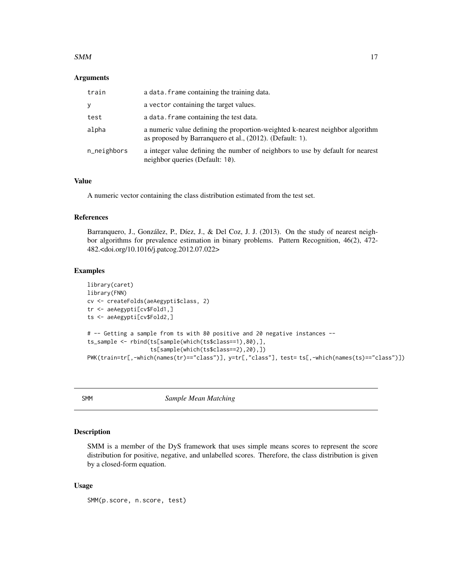#### <span id="page-16-0"></span> $SMM$  17

#### **Arguments**

| train       | a data. Frame containing the training data.                                                                                               |
|-------------|-------------------------------------------------------------------------------------------------------------------------------------------|
| y           | a vector containing the target values.                                                                                                    |
| test        | a data. frame containing the test data.                                                                                                   |
| alpha       | a numeric value defining the proportion-weighted k-nearest neighbor algorithm<br>as proposed by Barranguero et al., (2012). (Default: 1). |
| n_neighbors | a integer value defining the number of neighbors to use by default for nearest<br>neighbor queries (Default: 10).                         |

#### Value

A numeric vector containing the class distribution estimated from the test set.

#### References

Barranquero, J., González, P., Díez, J., & Del Coz, J. J. (2013). On the study of nearest neighbor algorithms for prevalence estimation in binary problems. Pattern Recognition, 46(2), 472- 482.<doi.org/10.1016/j.patcog.2012.07.022>

#### Examples

```
library(caret)
library(FNN)
cv <- createFolds(aeAegypti$class, 2)
tr <- aeAegypti[cv$Fold1,]
ts <- aeAegypti[cv$Fold2,]
# -- Getting a sample from ts with 80 positive and 20 negative instances --
ts_sample <- rbind(ts[sample(which(ts$class==1),80),],
                   ts[sample(which(ts$class==2),20),])
PWK(train=tr[,-which(names(tr)=="class")], y=tr[,"class"], test= ts[,-which(names(ts)=="class")])
```
SMM *Sample Mean Matching*

#### Description

SMM is a member of the DyS framework that uses simple means scores to represent the score distribution for positive, negative, and unlabelled scores. Therefore, the class distribution is given by a closed-form equation.

#### Usage

SMM(p.score, n.score, test)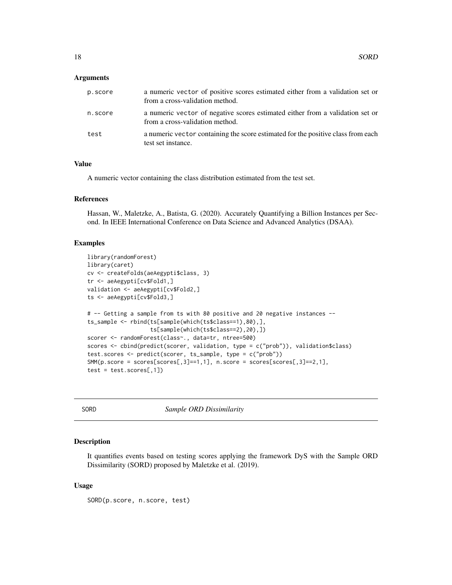<span id="page-17-0"></span>

| p.score | a numeric vector of positive scores estimated either from a validation set or<br>from a cross-validation method. |
|---------|------------------------------------------------------------------------------------------------------------------|
| n.score | a numeric vector of negative scores estimated either from a validation set or<br>from a cross-validation method. |
| test    | a numeric vector containing the score estimated for the positive class from each<br>test set instance.           |

#### Value

A numeric vector containing the class distribution estimated from the test set.

#### References

Hassan, W., Maletzke, A., Batista, G. (2020). Accurately Quantifying a Billion Instances per Second. In IEEE International Conference on Data Science and Advanced Analytics (DSAA).

#### Examples

```
library(randomForest)
library(caret)
cv <- createFolds(aeAegypti$class, 3)
tr <- aeAegypti[cv$Fold1,]
validation <- aeAegypti[cv$Fold2,]
ts <- aeAegypti[cv$Fold3,]
# -- Getting a sample from ts with 80 positive and 20 negative instances --
ts_sample <- rbind(ts[sample(which(ts$class==1),80),],
                    ts[sample(which(ts$class==2),20),])
scorer <- randomForest(class~., data=tr, ntree=500)
scores <- cbind(predict(scorer, validation, type = c("prob")), validation$class)
test.scores <- predict(scorer, ts_sample, type = c("prob"))
SMM(p,\text{score} = \text{scores}[\text{scores},3] == 1,1], n.\text{score} = \text{scores}[\text{scores},3] == 2,1],test = test.scores[, 1])
```
SORD *Sample ORD Dissimilarity*

#### Description

It quantifies events based on testing scores applying the framework DyS with the Sample ORD Dissimilarity (SORD) proposed by Maletzke et al. (2019).

#### Usage

SORD(p.score, n.score, test)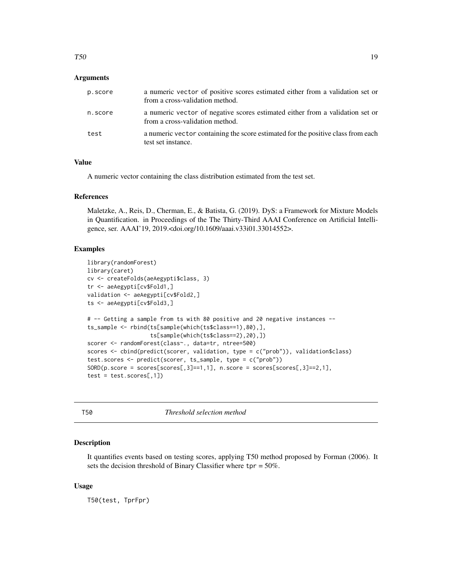<span id="page-18-0"></span>

| p.score | a numeric vector of positive scores estimated either from a validation set or<br>from a cross-validation method. |
|---------|------------------------------------------------------------------------------------------------------------------|
| n.score | a numeric vector of negative scores estimated either from a validation set or<br>from a cross-validation method. |
| test    | a numeric vector containing the score estimated for the positive class from each<br>test set instance.           |

### Value

A numeric vector containing the class distribution estimated from the test set.

#### References

Maletzke, A., Reis, D., Cherman, E., & Batista, G. (2019). DyS: a Framework for Mixture Models in Quantification. in Proceedings of the The Thirty-Third AAAI Conference on Artificial Intelligence, ser. AAAI'19, 2019.<doi.org/10.1609/aaai.v33i01.33014552>.

#### Examples

```
library(randomForest)
library(caret)
cv <- createFolds(aeAegypti$class, 3)
tr <- aeAegypti[cv$Fold1,]
validation <- aeAegypti[cv$Fold2,]
ts <- aeAegypti[cv$Fold3,]
# -- Getting a sample from ts with 80 positive and 20 negative instances --
ts_sample <- rbind(ts[sample(which(ts$class==1),80),],
                    ts[sample(which(ts$class==2),20),])
scorer <- randomForest(class~., data=tr, ntree=500)
scores <- cbind(predict(scorer, validation, type = c("prob")), validation$class)
test.scores <- predict(scorer, ts_sample, type = c("prob"))
SORD(p,\text{score} = \text{scores}[\text{scores}[, 3] == 1, 1], \text{ n.score} = \text{scores}[\text{scores}[, 3] == 2, 1],test = test.scores[, 1]
```
T50 *Threshold selection method*

#### Description

It quantifies events based on testing scores, applying T50 method proposed by Forman (2006). It sets the decision threshold of Binary Classifier where  $tpr = 50\%$ .

#### Usage

T50(test, TprFpr)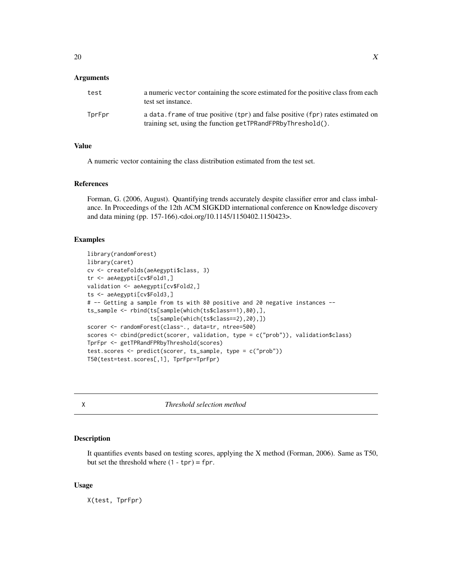<span id="page-19-0"></span>

| test   | a numeric vector containing the score estimated for the positive class from each<br>test set instance.                                          |
|--------|-------------------------------------------------------------------------------------------------------------------------------------------------|
| TprFpr | a data. Frame of true positive (tpr) and false positive (fpr) rates estimated on<br>training set, using the function getTPRandFPRbyThreshold(). |

#### Value

A numeric vector containing the class distribution estimated from the test set.

#### References

Forman, G. (2006, August). Quantifying trends accurately despite classifier error and class imbalance. In Proceedings of the 12th ACM SIGKDD international conference on Knowledge discovery and data mining (pp. 157-166).<doi.org/10.1145/1150402.1150423>.

#### Examples

```
library(randomForest)
library(caret)
cv <- createFolds(aeAegypti$class, 3)
tr <- aeAegypti[cv$Fold1,]
validation <- aeAegypti[cv$Fold2,]
ts <- aeAegypti[cv$Fold3,]
# -- Getting a sample from ts with 80 positive and 20 negative instances --
ts_sample <- rbind(ts[sample(which(ts$class==1),80),],
                   ts[sample(which(ts$class==2),20),])
scorer <- randomForest(class~., data=tr, ntree=500)
scores <- cbind(predict(scorer, validation, type = c("prob")), validation$class)
TprFpr <- getTPRandFPRbyThreshold(scores)
test.scores <- predict(scorer, ts_sample, type = c("prob"))
T50(test=test.scores[,1], TprFpr=TprFpr)
```
X *Threshold selection method*

#### Description

It quantifies events based on testing scores, applying the X method (Forman, 2006). Same as T50, but set the threshold where  $(1 - tpr) = fpr$ .

#### Usage

X(test, TprFpr)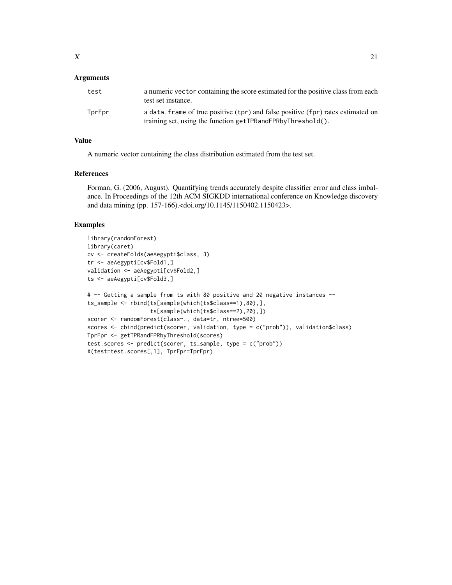| test   | a numeric vector containing the score estimated for the positive class from each<br>test set instance.                                          |
|--------|-------------------------------------------------------------------------------------------------------------------------------------------------|
| TprFpr | a data. frame of true positive (tpr) and false positive (fpr) rates estimated on<br>training set, using the function getTPRandFPRbyThreshold(). |

#### Value

A numeric vector containing the class distribution estimated from the test set.

#### References

Forman, G. (2006, August). Quantifying trends accurately despite classifier error and class imbalance. In Proceedings of the 12th ACM SIGKDD international conference on Knowledge discovery and data mining (pp. 157-166).<doi.org/10.1145/1150402.1150423>.

#### Examples

```
library(randomForest)
library(caret)
cv <- createFolds(aeAegypti$class, 3)
tr <- aeAegypti[cv$Fold1,]
validation <- aeAegypti[cv$Fold2,]
ts <- aeAegypti[cv$Fold3,]
# -- Getting a sample from ts with 80 positive and 20 negative instances --
ts_sample <- rbind(ts[sample(which(ts$class==1),80),],
                   ts[sample(which(ts$class==2),20),])
scorer <- randomForest(class~., data=tr, ntree=500)
scores <- cbind(predict(scorer, validation, type = c("prob")), validation$class)
TprFpr <- getTPRandFPRbyThreshold(scores)
test.scores <- predict(scorer, ts_sample, type = c("prob"))
X(test=test.scores[,1], TprFpr=TprFpr)
```